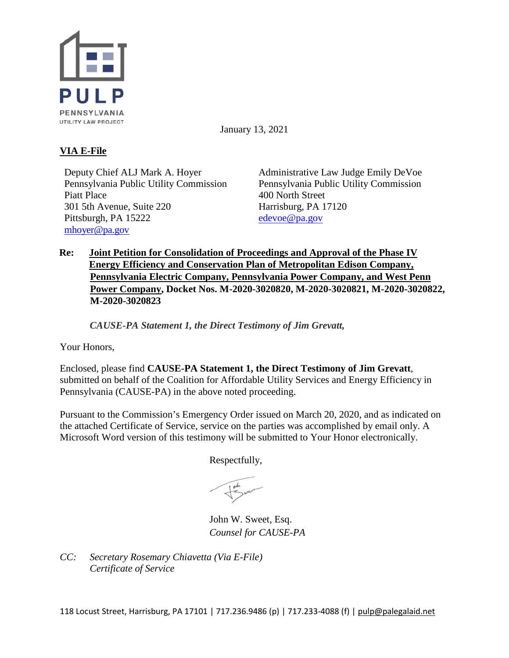

January 13, 2021

# **VIA E-File**

Deputy Chief ALJ Mark A. Hoyer Pennsylvania Public Utility Commission Piatt Place 301 5th Avenue, Suite 220 Pittsburgh, PA 15222 [mhoyer@pa.gov](mailto:mhoyer@pa.gov)

Administrative Law Judge Emily DeVoe Pennsylvania Public Utility Commission 400 North Street Harrisburg, PA 17120 [edevoe@pa.gov](mailto:edevoe@pa.gov)

## **Re: Joint Petition for Consolidation of Proceedings and Approval of the Phase IV Energy Efficiency and Conservation Plan of Metropolitan Edison Company, Pennsylvania Electric Company, Pennsylvania Power Company, and West Penn Power Company, Docket Nos. M-2020-3020820, M-2020-3020821, M-2020-3020822, M-2020-3020823**

*CAUSE-PA Statement 1, the Direct Testimony of Jim Grevatt,* 

Your Honors,

Enclosed, please find **CAUSE-PA Statement 1, the Direct Testimony of Jim Grevatt**, submitted on behalf of the Coalition for Affordable Utility Services and Energy Efficiency in Pennsylvania (CAUSE-PA) in the above noted proceeding.

Pursuant to the Commission's Emergency Order issued on March 20, 2020, and as indicated on the attached Certificate of Service, service on the parties was accomplished by email only. A Microsoft Word version of this testimony will be submitted to Your Honor electronically.

Respectfully,

John W. Sweet, Esq. *Counsel for CAUSE-PA*

*CC: Secretary Rosemary Chiavetta (Via E-File) Certificate of Service*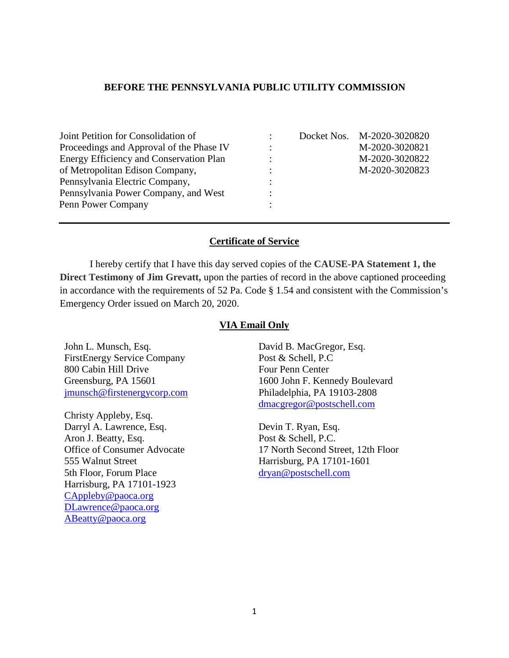### **BEFORE THE PENNSYLVANIA PUBLIC UTILITY COMMISSION**

| Joint Petition for Consolidation of      |   | Docket Nos. M-2020-3020820 |
|------------------------------------------|---|----------------------------|
| Proceedings and Approval of the Phase IV |   | M-2020-3020821             |
| Energy Efficiency and Conservation Plan  | ٠ | M-2020-3020822             |
| of Metropolitan Edison Company,          |   | M-2020-3020823             |
| Pennsylvania Electric Company,           |   |                            |
| Pennsylvania Power Company, and West     |   |                            |
| Penn Power Company                       |   |                            |

### **Certificate of Service**

I hereby certify that I have this day served copies of the **CAUSE-PA Statement 1, the Direct Testimony of Jim Grevatt, upon the parties of record in the above captioned proceeding** in accordance with the requirements of 52 Pa. Code § 1.54 and consistent with the Commission's Emergency Order issued on March 20, 2020.

#### **VIA Email Only**

John L. Munsch, Esq. FirstEnergy Service Company 800 Cabin Hill Drive Greensburg, PA 15601 [jmunsch@firstenergycorp.com](mailto:jmunsch@firstenergycorp.com)

Christy Appleby, Esq. Darryl A. Lawrence, Esq. Aron J. Beatty, Esq. Office of Consumer Advocate 555 Walnut Street 5th Floor, Forum Place Harrisburg, PA 17101-1923 [CAppleby@paoca.org](mailto:CAppleby@paoca.org) [DLawrence@paoca.org](mailto:DLawrence@paoca.org) [ABeatty@paoca.org](mailto:ABeatty@paoca.org)

David B. MacGregor, Esq. Post & Schell, P.C Four Penn Center 1600 John F. Kennedy Boulevard Philadelphia, PA 19103-2808 [dmacgregor@postschell.com](mailto:dmacgregor@postschell.com)

Devin T. Ryan, Esq. Post & Schell, P.C. 17 North Second Street, 12th Floor Harrisburg, PA 17101-1601 [dryan@postschell.com](mailto:dryan@postschell.com)